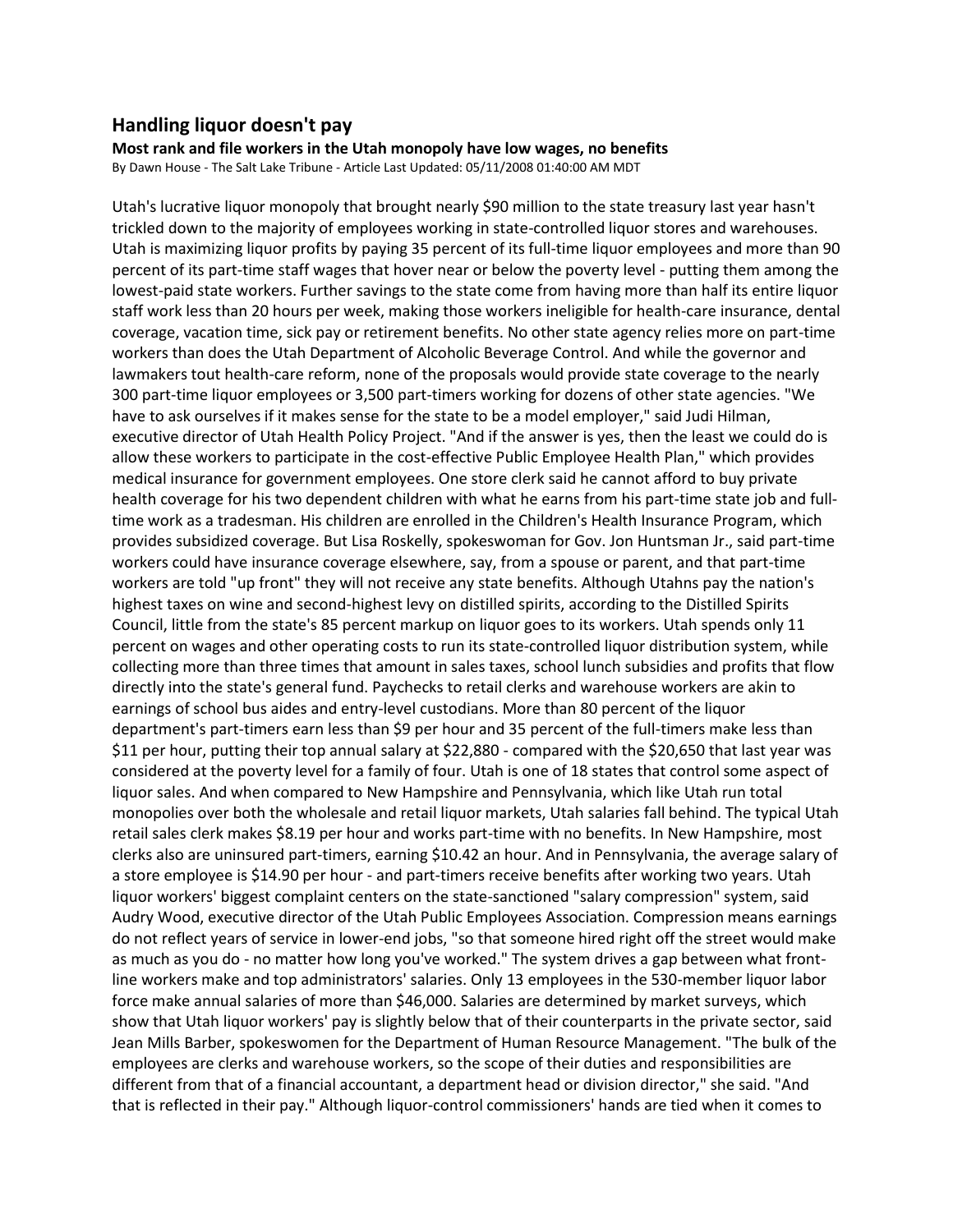## **Handling liquor doesn't pay**

**Most rank and file workers in the Utah monopoly have low wages, no benefits**  By Dawn House - The Salt Lake Tribune - Article Last Updated: 05/11/2008 01:40:00 AM MDT

Utah's lucrative liquor monopoly that brought nearly \$90 million to the state treasury last year hasn't trickled down to the majority of employees working in state-controlled liquor stores and warehouses. Utah is maximizing liquor profits by paying 35 percent of its full-time liquor employees and more than 90 percent of its part-time staff wages that hover near or below the poverty level - putting them among the lowest-paid state workers. Further savings to the state come from having more than half its entire liquor staff work less than 20 hours per week, making those workers ineligible for health-care insurance, dental coverage, vacation time, sick pay or retirement benefits. No other state agency relies more on part-time workers than does the Utah Department of Alcoholic Beverage Control. And while the governor and lawmakers tout health-care reform, none of the proposals would provide state coverage to the nearly 300 part-time liquor employees or 3,500 part-timers working for dozens of other state agencies. "We have to ask ourselves if it makes sense for the state to be a model employer," said Judi Hilman, executive director of Utah Health Policy Project. "And if the answer is yes, then the least we could do is allow these workers to participate in the cost-effective Public Employee Health Plan," which provides medical insurance for government employees. One store clerk said he cannot afford to buy private health coverage for his two dependent children with what he earns from his part-time state job and fulltime work as a tradesman. His children are enrolled in the Children's Health Insurance Program, which provides subsidized coverage. But Lisa Roskelly, spokeswoman for Gov. Jon Huntsman Jr., said part-time workers could have insurance coverage elsewhere, say, from a spouse or parent, and that part-time workers are told "up front" they will not receive any state benefits. Although Utahns pay the nation's highest taxes on wine and second-highest levy on distilled spirits, according to the Distilled Spirits Council, little from the state's 85 percent markup on liquor goes to its workers. Utah spends only 11 percent on wages and other operating costs to run its state-controlled liquor distribution system, while collecting more than three times that amount in sales taxes, school lunch subsidies and profits that flow directly into the state's general fund. Paychecks to retail clerks and warehouse workers are akin to earnings of school bus aides and entry-level custodians. More than 80 percent of the liquor department's part-timers earn less than \$9 per hour and 35 percent of the full-timers make less than \$11 per hour, putting their top annual salary at \$22,880 - compared with the \$20,650 that last year was considered at the poverty level for a family of four. Utah is one of 18 states that control some aspect of liquor sales. And when compared to New Hampshire and Pennsylvania, which like Utah run total monopolies over both the wholesale and retail liquor markets, Utah salaries fall behind. The typical Utah retail sales clerk makes \$8.19 per hour and works part-time with no benefits. In New Hampshire, most clerks also are uninsured part-timers, earning \$10.42 an hour. And in Pennsylvania, the average salary of a store employee is \$14.90 per hour - and part-timers receive benefits after working two years. Utah liquor workers' biggest complaint centers on the state-sanctioned "salary compression" system, said Audry Wood, executive director of the Utah Public Employees Association. Compression means earnings do not reflect years of service in lower-end jobs, "so that someone hired right off the street would make as much as you do - no matter how long you've worked." The system drives a gap between what frontline workers make and top administrators' salaries. Only 13 employees in the 530-member liquor labor force make annual salaries of more than \$46,000. Salaries are determined by market surveys, which show that Utah liquor workers' pay is slightly below that of their counterparts in the private sector, said Jean Mills Barber, spokeswomen for the Department of Human Resource Management. "The bulk of the employees are clerks and warehouse workers, so the scope of their duties and responsibilities are different from that of a financial accountant, a department head or division director," she said. "And that is reflected in their pay." Although liquor-control commissioners' hands are tied when it comes to